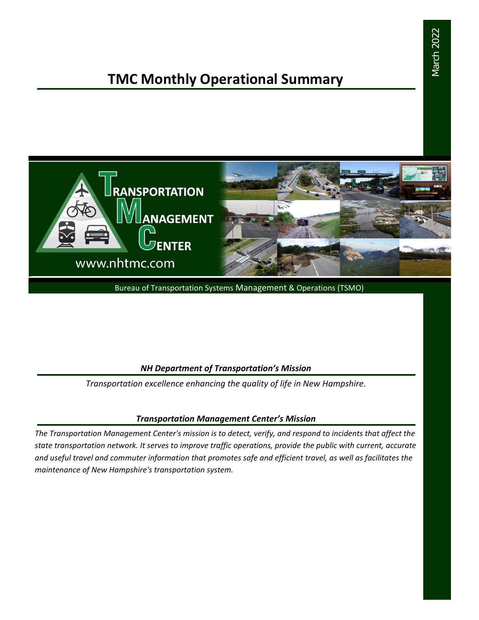# March 2022 March 2022

# **TMC Monthly Operational Summary**



Bureau of Transportation Systems Management & Operations (TSMO)

#### *NH Department of Transportation's Mission*

*Transportation excellence enhancing the quality of life in New Hampshire.*

#### *Transportation Management Center's Mission*

*The Transportation Management Center's mission is to detect, verify, and respond to incidents that affect the state transportation network. It serves to improve traffic operations, provide the public with current, accurate and useful travel and commuter information that promotes safe and efficient travel, as well as facilitates the maintenance of New Hampshire's transportation system.*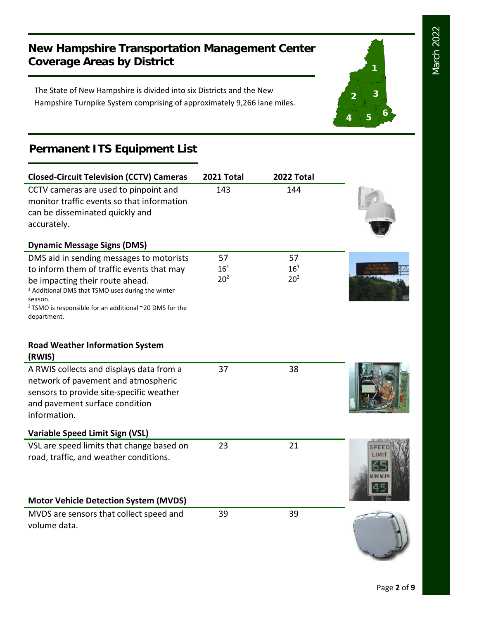**1**

**2 3**

**<sup>4</sup> <sup>5</sup> <sup>6</sup>**

## **New Hampshire Transportation Management Center Coverage Areas by District**

The State of New Hampshire is divided into six Districts and the New Hampshire Turnpike System comprising of approximately 9,266 lane miles.

## **Permanent ITS Equipment List**

| <b>Closed-Circuit Television (CCTV) Cameras</b>                                                                                                                                                                                                                                          | 2021 Total                        | 2022 Total                        |  |
|------------------------------------------------------------------------------------------------------------------------------------------------------------------------------------------------------------------------------------------------------------------------------------------|-----------------------------------|-----------------------------------|--|
| CCTV cameras are used to pinpoint and<br>monitor traffic events so that information<br>can be disseminated quickly and<br>accurately.                                                                                                                                                    | 143                               | 144                               |  |
| <b>Dynamic Message Signs (DMS)</b>                                                                                                                                                                                                                                                       |                                   |                                   |  |
| DMS aid in sending messages to motorists<br>to inform them of traffic events that may<br>be impacting their route ahead.<br><sup>1</sup> Additional DMS that TSMO uses during the winter<br>season.<br><sup>2</sup> TSMO is responsible for an additional ~20 DMS for the<br>department. | 57<br>$16^{1}$<br>20 <sup>2</sup> | 57<br>$16^{1}$<br>20 <sup>2</sup> |  |
| <b>Road Weather Information System</b><br>(RWIS)                                                                                                                                                                                                                                         |                                   |                                   |  |
| A RWIS collects and displays data from a<br>network of pavement and atmospheric<br>sensors to provide site-specific weather<br>and pavement surface condition<br>information.                                                                                                            | 37                                | 38                                |  |
| <b>Variable Speed Limit Sign (VSL)</b>                                                                                                                                                                                                                                                   |                                   |                                   |  |
| VSL are speed limits that change based on<br>road, traffic, and weather conditions.                                                                                                                                                                                                      | 23                                | 21                                |  |
| <b>Motor Vehicle Detection System (MVDS)</b>                                                                                                                                                                                                                                             |                                   |                                   |  |
| MVDS are sensors that collect speed and<br>volume data.                                                                                                                                                                                                                                  | 39                                | 39                                |  |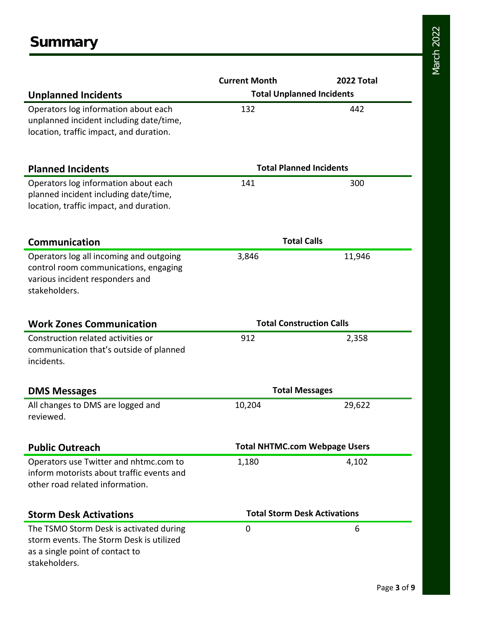|                                                | <b>Current Month</b>                 | 2022 Total |  |
|------------------------------------------------|--------------------------------------|------------|--|
| <b>Unplanned Incidents</b>                     | <b>Total Unplanned Incidents</b>     |            |  |
| Operators log information about each           | 132                                  | 442        |  |
| unplanned incident including date/time,        |                                      |            |  |
| location, traffic impact, and duration.        |                                      |            |  |
|                                                |                                      |            |  |
| <b>Planned Incidents</b>                       | <b>Total Planned Incidents</b>       |            |  |
| Operators log information about each           | 141                                  | 300        |  |
| planned incident including date/time,          |                                      |            |  |
| location, traffic impact, and duration.        |                                      |            |  |
| <b>Communication</b>                           | <b>Total Calls</b>                   |            |  |
| Operators log all incoming and outgoing        | 3,846                                | 11,946     |  |
| control room communications, engaging          |                                      |            |  |
| various incident responders and                |                                      |            |  |
| stakeholders.                                  |                                      |            |  |
|                                                |                                      |            |  |
| <b>Work Zones Communication</b>                | <b>Total Construction Calls</b>      |            |  |
| Construction related activities or             | 912                                  | 2,358      |  |
| communication that's outside of planned        |                                      |            |  |
| incidents.                                     |                                      |            |  |
|                                                |                                      |            |  |
| <b>DMS Messages</b>                            | <b>Total Messages</b>                |            |  |
| All changes to DMS are logged and<br>reviewed. | 10,204                               | 29,622     |  |
|                                                |                                      |            |  |
| <b>Public Outreach</b>                         | <b>Total NHTMC.com Webpage Users</b> |            |  |
| Operators use Twitter and nhtmc.com to         | 1,180                                | 4,102      |  |
| inform motorists about traffic events and      |                                      |            |  |
| other road related information.                |                                      |            |  |
| <b>Storm Desk Activations</b>                  | <b>Total Storm Desk Activations</b>  |            |  |
| The TSMO Storm Desk is activated during        | 0                                    | 6          |  |
| storm events. The Storm Desk is utilized       |                                      |            |  |
| as a single point of contact to                |                                      |            |  |
| stakeholders.                                  |                                      |            |  |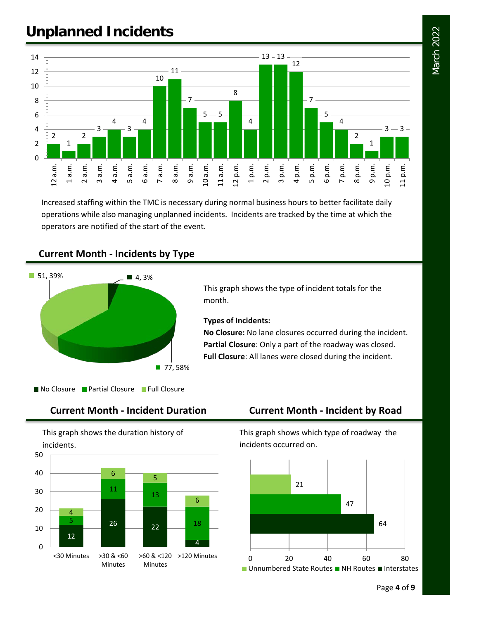# **Unplanned Incidents**



Increased staffing within the TMC is necessary during normal business hours to better facilitate daily operations while also managing unplanned incidents. Incidents are tracked by the time at which the operators are notified of the start of the event.

#### **Current Month - Incidents by Type**



This graph shows the type of incident totals for the month.

#### **Types of Incidents:**

**No Closure:** No lane closures occurred during the incident. **Partial Closure**: Only a part of the roadway was closed. **Full Closure**: All lanes were closed during the incident.

No Closure Partial Closure Full Closure

This graph shows the duration history of incidents.



### **Current Month - Incident Duration Current Month - Incident by Road**

This graph shows which type of roadway the incidents occurred on.

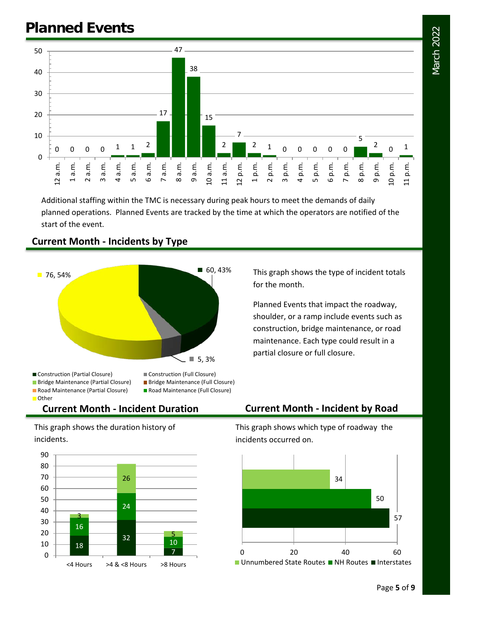

Additional staffing within the TMC is necessary during peak hours to meet the demands of daily planned operations. Planned Events are tracked by the time at which the operators are notified of the start of the event.

#### **Current Month - Incidents by Type**



■ Bridge Maintenance (Partial Closure) ■ Bridge Maintenance (Full Closure) ■ Road Maintenance (Partial Closure) ■ Road Maintenance (Full Closure) Other

This graph shows the type of incident totals for the month.

Planned Events that impact the roadway, shoulder, or a ramp include events such as construction, bridge maintenance, or road maintenance. Each type could result in a partial closure or full closure.

This graph shows the duration history of incidents.



#### **Current Month - Incident Duration Current Month - Incident by Road**

This graph shows which type of roadway the incidents occurred on.

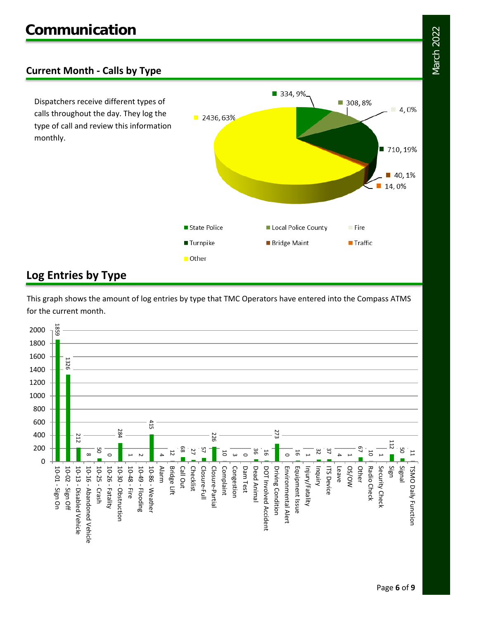### **Current Month - Calls by Type**

Dispatchers receive different types of calls throughout the day. They log the type of call and review this information monthly.



### **Log Entries by Type**

This graph shows the amount of log entries by type that TMC Operators have entered into the Compass ATMS for the current month.

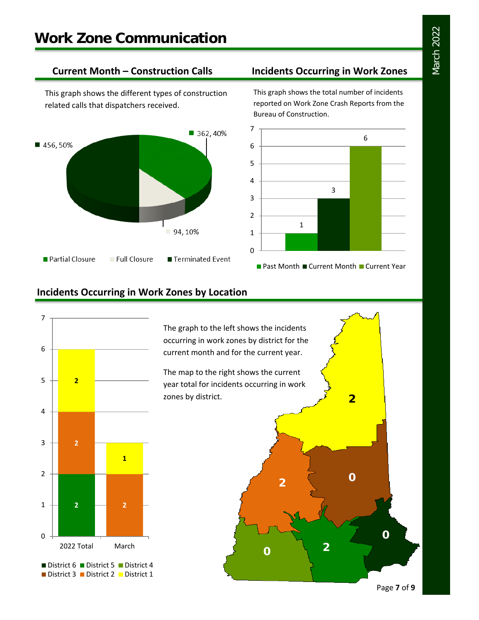This graph shows the different types of construction related calls that dispatchers received.



#### **Current Month – Construction Calls Incidents Occurring in Work Zones**

This graph shows the total number of incidents reported on Work Zone Crash Reports from the Bureau of Construction.



### **Incidents Occurring in Work Zones by Location**



The graph to the left shows the incidents occurring in work zones by district for the current month and for the current year.

The map to the right shows the current year total for incidents occurring in work zones by district.



Page **7** of **9**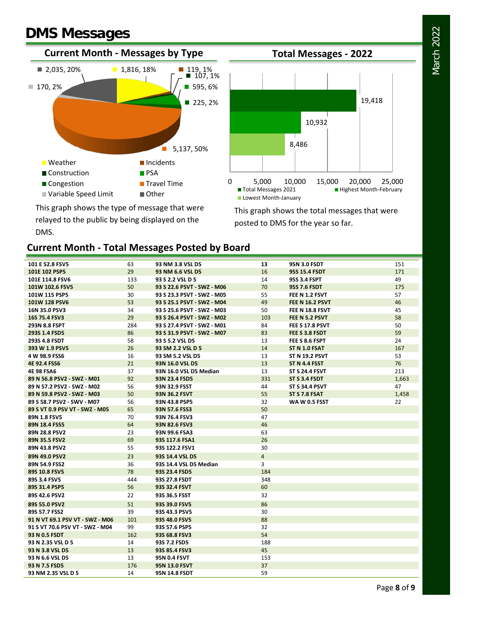# **DMS Messages**

DMS.





This graph shows the type of message that were relayed to the public by being displayed on the

This graph shows the total messages that were posted to DMS for the year so far.

#### **Current Month - Total Messages Posted by Board**

| 101 E 52.8 FSV5                    | 63<br>29  | 93 NM 3.8 VSL D5                               | 13<br>16       | 95N 3.0 FSDT                   | 151<br>171 |
|------------------------------------|-----------|------------------------------------------------|----------------|--------------------------------|------------|
| 101E 102 PSP5                      |           | 93 NM 6.6 VSL D5                               | 14             | <b>95S 15.4 FSDT</b>           | 49         |
| 101E 114.8 FSV6<br>101W 102.6 FSV5 | 133<br>50 | 93 S 2.2 VSL D 5<br>93 S 22.6 PSVT - SWZ - M06 | 70             | 95S 3.4 FSPT                   | 175        |
| 101W 115 PSP5                      | 30        | 93 S 23.3 PSVT - SWZ - M05                     | 55             | 95S 7.6 FSDT<br>FEE N 1.2 FSVT | 57         |
| 101W 128 PSV6                      | 53        | 93 S 25.1 PSVT - SWZ - M04                     | 49             | <b>FEE N 16.2 PSVT</b>         | 46         |
| 16N 35.0 PSV3                      | 34        | 93 S 25.6 PSVT - SWZ - M03                     | 50             | FEE N 18.8 FSVT                | 45         |
| 16S 75.4 FSV3                      | 29        | 93 S 26.4 PSVT - SWZ - M02                     | 103            | FEE N 5.2 PSVT                 | 58         |
| 293N 8.8 FSPT                      | 284       | 93 S 27.4 PSVT - SWZ - M01                     | 84             | FEE S 17.8 PSVT                | 50         |
| 293S 1.4 FSD5                      | 86        | 93 S 31.9 PSVT - SWZ - M07                     | 83             | FEE S 3.8 FSDT                 | 59         |
| 293S 4.8 FSDT                      | 58        | 93 S 5.2 VSL D5                                | 13             | FEE S 8.6 FSPT                 | 24         |
| 393 W 1.9 PSV5                     | 26        | 93 SM 2.2 VSL D 5                              | 14             | ST N 1.0 FSAT                  | 167        |
| 4 W 98.9 FSS6                      | 16        | 93 SM 5.2 VSL D5                               | 13             | <b>ST N 19.2 PSVT</b>          | 53         |
| <b>4E 92.4 FSS6</b>                | 21        | 93N 16.0 VSL D5                                | 13             | ST N 4.4 FSST                  | 76         |
| <b>4E 98 FSA6</b>                  | 37        | 93N 16.0 VSL D5 Median                         | 13             | <b>ST S 24.4 FSVT</b>          | 213        |
| 89 N 56.8 PSV2 - SWZ - M01         | 92        | 93N 23.4 FSD5                                  | 331            | ST S 3.4 FSDT                  | 1,663      |
| 89 N 57.2 PSV2 - SWZ - M02         | 56        | 93N 32.9 FSST                                  | 44             | <b>ST S 34.4 PSVT</b>          | 47         |
| 89 N 59.8 PSV2 - SWZ - M03         | 50        | <b>93N 36.2 FSVT</b>                           | 55             | ST S 7.8 FSAT                  | 1,458      |
| 89 S 58.7 PSV2 - SWV - M07         | 56        | 93N 43.8 PSP5                                  | 32             | WA W 0.5 FSST                  | 22         |
| 89 S VT 0.9 PSV VT - SWZ - M05     | 65        | 93N 57.6 FSS3                                  | 50             |                                |            |
| 89N 1.8 FSV5                       | 70        | 93N 76.4 FSV3                                  | 47             |                                |            |
| 89N 18.4 FSS5                      | 64        | 93N 82.6 FSV3                                  | 46             |                                |            |
| 89N 28.8 PSV2                      | 23        | 93N 99.6 FSA3                                  | 63             |                                |            |
| 89N 35.5 FSV2                      | 69        | 93S 117.6 FSA1                                 | 26             |                                |            |
| 89N 43.8 PSV2                      | 55        | 93S 122.2 FSV1                                 | 30             |                                |            |
| 89N 49.0 PSV2                      | 23        | 93S 14.4 VSL D5                                | $\overline{4}$ |                                |            |
| 89N 54.9 FSS2                      | 36        | 93S 14.4 VSL D5 Median                         | 3              |                                |            |
| 89S 10.8 FSV5                      | 78        | 93S 23.4 FSD5                                  | 184            |                                |            |
| 89S 3.4 FSV5                       | 444       | 93S 27.8 FSDT                                  | 348            |                                |            |
| 89S 31.4 PSP5                      | 56        | 93S 32.4 FSVT                                  | 60             |                                |            |
| 89S 42.6 PSV2                      | 22        | 93S 36.5 FSST                                  | 32             |                                |            |
| 89S 55.0 PSV2                      | 51        | 93S 39.0 FSV5                                  | 86             |                                |            |
| 89S 57.7 FSS2                      | 39        | 93S 43.3 PSV5                                  | 30             |                                |            |
| 91 N VT 69.1 PSV VT - SWZ - M06    | 101       | 93S 48.0 FSV5                                  | 88             |                                |            |
| 91 S VT 70.6 PSV VT - SWZ - M04    | 99        | 93S 57.6 PSP5                                  | 32             |                                |            |
| 93 N 0.5 FSDT                      | 162       | 93S 68.8 FSV3                                  | 54             |                                |            |
| 93 N 2.35 VSL D 5                  | 14        | 93S 7.2 FSD5                                   | 188            |                                |            |
| 93 N 3.8 VSL D5                    | 13        | 93S 85.4 FSV3                                  | 45             |                                |            |
| 93 N 6.6 VSL D5                    | 13        | 95N 0.4 FSVT                                   | 153            |                                |            |
| 93 N 7.5 FSD5                      | 176       | <b>95N 13.0 FSVT</b>                           | 37             |                                |            |
| 93 NM 2.35 VSL D 5                 | 14        | <b>95N 14.8 FSDT</b>                           | 59             |                                |            |

# March 2022 March 2022